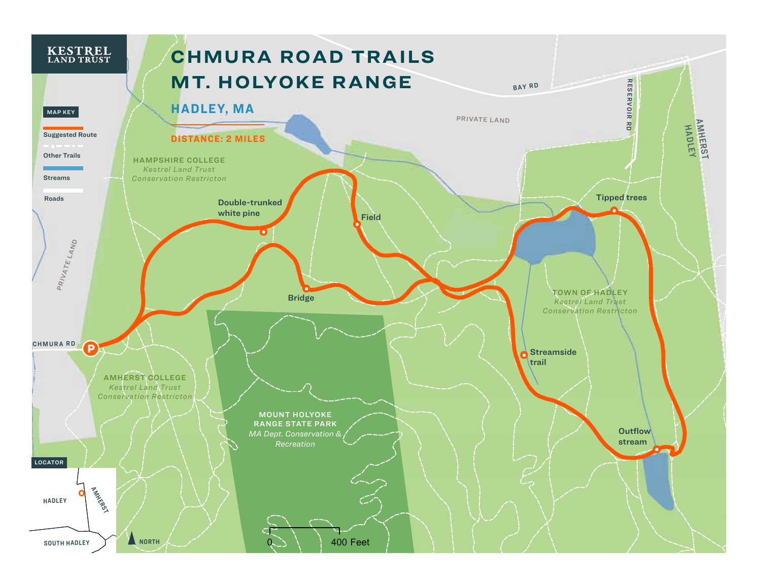